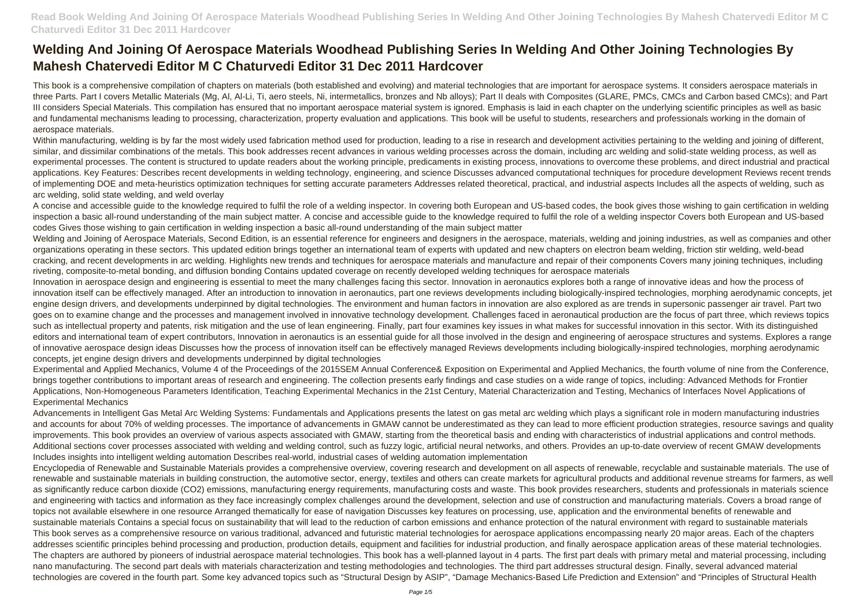# **Welding And Joining Of Aerospace Materials Woodhead Publishing Series In Welding And Other Joining Technologies By Mahesh Chatervedi Editor M C Chaturvedi Editor 31 Dec 2011 Hardcover**

This book is a comprehensive compilation of chapters on materials (both established and evolving) and material technologies that are important for aerospace systems. It considers aerospace materials in three Parts. Part I covers Metallic Materials (Mg, Al, Al-Li, Ti, aero steels, Ni, intermetallics, bronzes and Nb alloys); Part II deals with Composites (GLARE, PMCs, CMCs and Carbon based CMCs); and Part III considers Special Materials. This compilation has ensured that no important aerospace material system is ignored. Emphasis is laid in each chapter on the underlying scientific principles as well as basic and fundamental mechanisms leading to processing, characterization, property evaluation and applications. This book will be useful to students, researchers and professionals working in the domain of aerospace materials.

Within manufacturing, welding is by far the most widely used fabrication method used for production, leading to a rise in research and development activities pertaining to the welding and joining of different, similar, and dissimilar combinations of the metals. This book addresses recent advances in various welding processes across the domain, including arc welding and solid-state welding process, as well as experimental processes. The content is structured to update readers about the working principle, predicaments in existing process, innovations to overcome these problems, and direct industrial and practical applications. Key Features: Describes recent developments in welding technology, engineering, and science Discusses advanced computational techniques for procedure development Reviews recent trends of implementing DOE and meta-heuristics optimization techniques for setting accurate parameters Addresses related theoretical, practical, and industrial aspects Includes all the aspects of welding, such as arc welding, solid state welding, and weld overlay

Welding and Joining of Aerospace Materials, Second Edition, is an essential reference for engineers and designers in the aerospace, materials, welding and joining industries, as well as companies and other organizations operating in these sectors. This updated edition brings together an international team of experts with updated and new chapters on electron beam welding, friction stir welding, weld-bead cracking, and recent developments in arc welding. Highlights new trends and techniques for aerospace materials and manufacture and repair of their components Covers many joining techniques, including riveting, composite-to-metal bonding, and diffusion bonding Contains updated coverage on recently developed welding techniques for aerospace materials

A concise and accessible guide to the knowledge required to fulfil the role of a welding inspector. In covering both European and US-based codes, the book gives those wishing to gain certification in welding inspection a basic all-round understanding of the main subject matter. A concise and accessible guide to the knowledge required to fulfil the role of a welding inspector Covers both European and US-based codes Gives those wishing to gain certification in welding inspection a basic all-round understanding of the main subject matter

Innovation in aerospace design and engineering is essential to meet the many challenges facing this sector. Innovation in aeronautics explores both a range of innovative ideas and how the process of innovation itself can be effectively managed. After an introduction to innovation in aeronautics, part one reviews developments including biologically-inspired technologies, morphing aerodynamic concepts, jet engine design drivers, and developments underpinned by digital technologies. The environment and human factors in innovation are also explored as are trends in supersonic passenger air travel. Part two goes on to examine change and the processes and management involved in innovative technology development. Challenges faced in aeronautical production are the focus of part three, which reviews topics such as intellectual property and patents, risk mitigation and the use of lean engineering. Finally, part four examines key issues in what makes for successful innovation in this sector. With its distinguished editors and international team of expert contributors, Innovation in aeronautics is an essential guide for all those involved in the design and engineering of aerospace structures and systems. Explores a range of innovative aerospace design ideas Discusses how the process of innovation itself can be effectively managed Reviews developments including biologically-inspired technologies, morphing aerodynamic concepts, jet engine design drivers and developments underpinned by digital technologies

Experimental and Applied Mechanics, Volume 4 of the Proceedings of the 2015SEM Annual Conference& Exposition on Experimental and Applied Mechanics, the fourth volume of nine from the Conference, brings together contributions to important areas of research and engineering. The collection presents early findings and case studies on a wide range of topics, including: Advanced Methods for Frontier Applications, Non-Homogeneous Parameters Identification, Teaching Experimental Mechanics in the 21st Century, Material Characterization and Testing, Mechanics of Interfaces Novel Applications of Experimental Mechanics

Advancements in Intelligent Gas Metal Arc Welding Systems: Fundamentals and Applications presents the latest on gas metal arc welding which plays a significant role in modern manufacturing industries and accounts for about 70% of welding processes. The importance of advancements in GMAW cannot be underestimated as they can lead to more efficient production strategies, resource savings and quality improvements. This book provides an overview of various aspects associated with GMAW, starting from the theoretical basis and ending with characteristics of industrial applications and control methods. Additional sections cover processes associated with welding and welding control, such as fuzzy logic, artificial neural networks, and others. Provides an up-to-date overview of recent GMAW developments Includes insights into intelligent welding automation Describes real-world, industrial cases of welding automation implementation

Encyclopedia of Renewable and Sustainable Materials provides a comprehensive overview, covering research and development on all aspects of renewable, recyclable and sustainable materials. The use of renewable and sustainable materials in building construction, the automotive sector, energy, textiles and others can create markets for agricultural products and additional revenue streams for farmers, as well as significantly reduce carbon dioxide (CO2) emissions, manufacturing energy requirements, manufacturing costs and waste. This book provides researchers, students and professionals in materials science and engineering with tactics and information as they face increasingly complex challenges around the development, selection and use of construction and manufacturing materials. Covers a broad range of topics not available elsewhere in one resource Arranged thematically for ease of navigation Discusses key features on processing, use, application and the environmental benefits of renewable and sustainable materials Contains a special focus on sustainability that will lead to the reduction of carbon emissions and enhance protection of the natural environment with regard to sustainable materials This book serves as a comprehensive resource on various traditional, advanced and futuristic material technologies for aerospace applications encompassing nearly 20 major areas. Each of the chapters addresses scientific principles behind processing and production, production details, equipment and facilities for industrial production, and finally aerospace application areas of these material technologies. The chapters are authored by pioneers of industrial aerospace material technologies. This book has a well-planned layout in 4 parts. The first part deals with primary metal and material processing, including nano manufacturing. The second part deals with materials characterization and testing methodologies and technologies. The third part addresses structural design. Finally, several advanced material technologies are covered in the fourth part. Some key advanced topics such as "Structural Design by ASIP", "Damage Mechanics-Based Life Prediction and Extension" and "Principles of Structural Health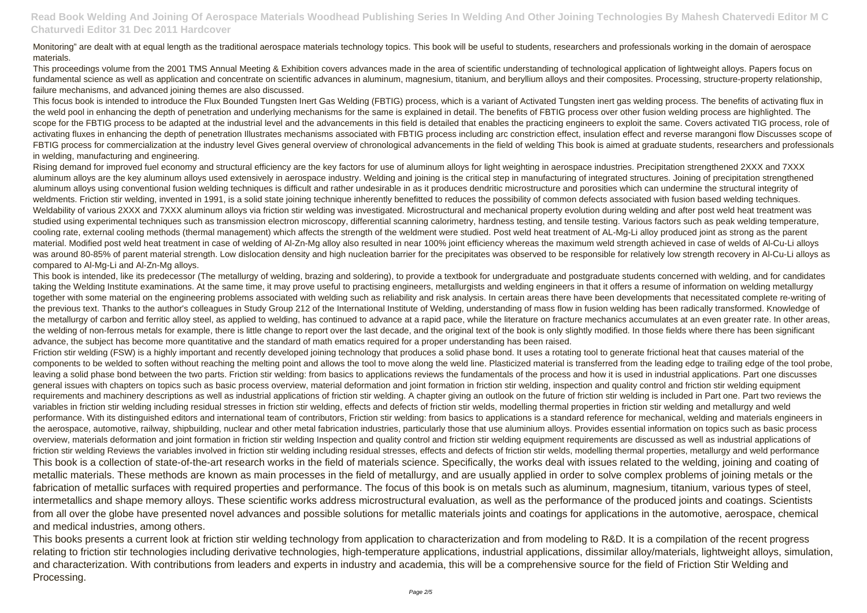### Monitoring" are dealt with at equal length as the traditional aerospace materials technology topics. This book will be useful to students, researchers and professionals working in the domain of aerospace materials.

This proceedings volume from the 2001 TMS Annual Meeting & Exhibition covers advances made in the area of scientific understanding of technological application of lightweight alloys. Papers focus on fundamental science as well as application and concentrate on scientific advances in aluminum, magnesium, titanium, and beryllium alloys and their composites. Processing, structure-property relationship, failure mechanisms, and advanced joining themes are also discussed.

This focus book is intended to introduce the Flux Bounded Tungsten Inert Gas Welding (FBTIG) process, which is a variant of Activated Tungsten inert gas welding process. The benefits of activating flux in the weld pool in enhancing the depth of penetration and underlying mechanisms for the same is explained in detail. The benefits of FBTIG process over other fusion welding process are highlighted. The scope for the FBTIG process to be adapted at the industrial level and the advancements in this field is detailed that enables the practicing engineers to exploit the same. Covers activated TIG process, role of activating fluxes in enhancing the depth of penetration Illustrates mechanisms associated with FBTIG process including arc constriction effect, insulation effect and reverse marangoni flow Discusses scope of FBTIG process for commercialization at the industry level Gives general overview of chronological advancements in the field of welding This book is aimed at graduate students, researchers and professionals in welding, manufacturing and engineering.

This book is intended, like its predecessor (The metallurgy of welding, brazing and soldering), to provide a textbook for undergraduate and postgraduate students concerned with welding, and for candidates taking the Welding Institute examinations. At the same time, it may prove useful to practising engineers, metallurgists and welding engineers in that it offers a resume of information on welding metallurgy together with some material on the engineering problems associated with welding such as reliability and risk analysis. In certain areas there have been developments that necessitated complete re-writing of the previous text. Thanks to the author's colleagues in Study Group 212 of the International Institute of Welding, understanding of mass flow in fusion welding has been radically transformed. Knowledge of the metallurgy of carbon and ferritic alloy steel, as applied to welding, has continued to advance at a rapid pace, while the literature on fracture mechanics accumulates at an even greater rate. In other areas, the welding of non-ferrous metals for example, there is little change to report over the last decade, and the original text of the book is only slightly modified. In those fields where there has been significant advance, the subject has become more quantitative and the standard of math ematics required for a proper understanding has been raised.

Rising demand for improved fuel economy and structural efficiency are the key factors for use of aluminum alloys for light weighting in aerospace industries. Precipitation strengthened 2XXX and 7XXX aluminum alloys are the key aluminum alloys used extensively in aerospace industry. Welding and joining is the critical step in manufacturing of integrated structures. Joining of precipitation strengthened aluminum alloys using conventional fusion welding techniques is difficult and rather undesirable in as it produces dendritic microstructure and porosities which can undermine the structural integrity of weldments. Friction stir welding, invented in 1991, is a solid state joining technique inherently benefitted to reduces the possibility of common defects associated with fusion based welding techniques. Weldability of various 2XXX and 7XXX aluminum alloys via friction stir welding was investigated. Microstructural and mechanical property evolution during welding and after post weld heat treatment was studied using experimental techniques such as transmission electron microscopy, differential scanning calorimetry, hardness testing, and tensile testing. Various factors such as peak welding temperature, cooling rate, external cooling methods (thermal management) which affects the strength of the weldment were studied. Post weld heat treatment of AL-Mg-Li alloy produced joint as strong as the parent material. Modified post weld heat treatment in case of welding of Al-Zn-Mg alloy also resulted in near 100% joint efficiency whereas the maximum weld strength achieved in case of welds of Al-Cu-Li alloys was around 80-85% of parent material strength. Low dislocation density and high nucleation barrier for the precipitates was observed to be responsible for relatively low strength recovery in Al-Cu-Li alloys as compared to Al-Mg-Li and Al-Zn-Mg alloys.

This books presents a current look at friction stir welding technology from application to characterization and from modeling to R&D. It is a compilation of the recent progress relating to friction stir technologies including derivative technologies, high-temperature applications, industrial applications, dissimilar alloy/materials, lightweight alloys, simulation, and characterization. With contributions from leaders and experts in industry and academia, this will be a comprehensive source for the field of Friction Stir Welding and Processing.

Friction stir welding (FSW) is a highly important and recently developed joining technology that produces a solid phase bond. It uses a rotating tool to generate frictional heat that causes material of the components to be welded to soften without reaching the melting point and allows the tool to move along the weld line. Plasticized material is transferred from the leading edge to trailing edge of the tool probe, leaving a solid phase bond between the two parts. Friction stir welding: from basics to applications reviews the fundamentals of the process and how it is used in industrial applications. Part one discusses general issues with chapters on topics such as basic process overview, material deformation and joint formation in friction stir welding, inspection and quality control and friction stir welding equipment requirements and machinery descriptions as well as industrial applications of friction stir welding. A chapter giving an outlook on the future of friction stir welding is included in Part one. Part two reviews the variables in friction stir welding including residual stresses in friction stir welding, effects and defects of friction stir welds, modelling thermal properties in friction stir welding and metallurgy and weld performance. With its distinguished editors and international team of contributors, Friction stir welding: from basics to applications is a standard reference for mechanical, welding and materials engineers in the aerospace, automotive, railway, shipbuilding, nuclear and other metal fabrication industries, particularly those that use aluminium alloys. Provides essential information on topics such as basic process overview, materials deformation and joint formation in friction stir welding Inspection and quality control and friction stir welding equipment requirements are discussed as well as industrial applications of friction stir welding Reviews the variables involved in friction stir welding including residual stresses, effects and defects of friction stir welds, modelling thermal properties, metallurgy and weld performance This book is a collection of state-of-the-art research works in the field of materials science. Specifically, the works deal with issues related to the welding, joining and coating of metallic materials. These methods are known as main processes in the field of metallurgy, and are usually applied in order to solve complex problems of joining metals or the fabrication of metallic surfaces with required properties and performance. The focus of this book is on metals such as aluminum, magnesium, titanium, various types of steel, intermetallics and shape memory alloys. These scientific works address microstructural evaluation, as well as the performance of the produced joints and coatings. Scientists from all over the globe have presented novel advances and possible solutions for metallic materials joints and coatings for applications in the automotive, aerospace, chemical and medical industries, among others.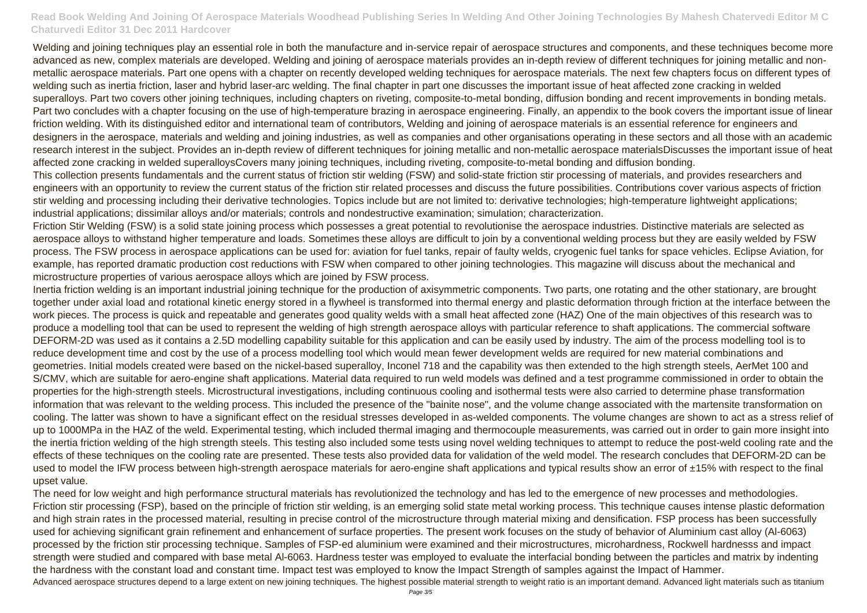# **Read Book Welding And Joining Of Aerospace Materials Woodhead Publishing Series In Welding And Other Joining Technologies By Mahesh Chatervedi Editor M C Chaturvedi Editor 31 Dec 2011 Hardcover**

Welding and joining techniques play an essential role in both the manufacture and in-service repair of aerospace structures and components, and these techniques become more advanced as new, complex materials are developed. Welding and joining of aerospace materials provides an in-depth review of different techniques for joining metallic and nonmetallic aerospace materials. Part one opens with a chapter on recently developed welding techniques for aerospace materials. The next few chapters focus on different types of welding such as inertia friction, laser and hybrid laser-arc welding. The final chapter in part one discusses the important issue of heat affected zone cracking in welded superalloys. Part two covers other joining techniques, including chapters on riveting, composite-to-metal bonding, diffusion bonding and recent improvements in bonding metals. Part two concludes with a chapter focusing on the use of high-temperature brazing in aerospace engineering. Finally, an appendix to the book covers the important issue of linear friction welding. With its distinguished editor and international team of contributors, Welding and joining of aerospace materials is an essential reference for engineers and designers in the aerospace, materials and welding and joining industries, as well as companies and other organisations operating in these sectors and all those with an academic research interest in the subject. Provides an in-depth review of different techniques for joining metallic and non-metallic aerospace materialsDiscusses the important issue of heat affected zone cracking in welded superalloysCovers many joining techniques, including riveting, composite-to-metal bonding and diffusion bonding. This collection presents fundamentals and the current status of friction stir welding (FSW) and solid-state friction stir processing of materials, and provides researchers and engineers with an opportunity to review the current status of the friction stir related processes and discuss the future possibilities. Contributions cover various aspects of friction stir welding and processing including their derivative technologies. Topics include but are not limited to: derivative technologies; high-temperature lightweight applications; industrial applications; dissimilar alloys and/or materials; controls and nondestructive examination; simulation; characterization.

Friction Stir Welding (FSW) is a solid state joining process which possesses a great potential to revolutionise the aerospace industries. Distinctive materials are selected as aerospace alloys to withstand higher temperature and loads. Sometimes these alloys are difficult to join by a conventional welding process but they are easily welded by FSW process. The FSW process in aerospace applications can be used for: aviation for fuel tanks, repair of faulty welds, cryogenic fuel tanks for space vehicles. Eclipse Aviation, for example, has reported dramatic production cost reductions with FSW when compared to other joining technologies. This magazine will discuss about the mechanical and microstructure properties of various aerospace alloys which are joined by FSW process.

The need for low weight and high performance structural materials has revolutionized the technology and has led to the emergence of new processes and methodologies. Friction stir processing (FSP), based on the principle of friction stir welding, is an emerging solid state metal working process. This technique causes intense plastic deformation and high strain rates in the processed material, resulting in precise control of the microstructure through material mixing and densification. FSP process has been successfully used for achieving significant grain refinement and enhancement of surface properties. The present work focuses on the study of behavior of Aluminium cast alloy (Al-6063) processed by the friction stir processing technique. Samples of FSP-ed aluminium were examined and their microstructures, microhardness, Rockwell hardnesss and impact strength were studied and compared with base metal Al-6063. Hardness tester was employed to evaluate the interfacial bonding between the particles and matrix by indenting the hardness with the constant load and constant time. Impact test was employed to know the Impact Strength of samples against the Impact of Hammer. Advanced aerospace structures depend to a large extent on new joining techniques. The highest possible material strength to weight ratio is an important demand. Advanced light materials such as titanium

Inertia friction welding is an important industrial joining technique for the production of axisymmetric components. Two parts, one rotating and the other stationary, are brought together under axial load and rotational kinetic energy stored in a flywheel is transformed into thermal energy and plastic deformation through friction at the interface between the work pieces. The process is quick and repeatable and generates good quality welds with a small heat affected zone (HAZ) One of the main objectives of this research was to produce a modelling tool that can be used to represent the welding of high strength aerospace alloys with particular reference to shaft applications. The commercial software DEFORM-2D was used as it contains a 2.5D modelling capability suitable for this application and can be easily used by industry. The aim of the process modelling tool is to reduce development time and cost by the use of a process modelling tool which would mean fewer development welds are required for new material combinations and geometries. Initial models created were based on the nickel-based superalloy, Inconel 718 and the capability was then extended to the high strength steels, AerMet 100 and S/CMV, which are suitable for aero-engine shaft applications. Material data required to run weld models was defined and a test programme commissioned in order to obtain the properties for the high-strength steels. Microstructural investigations, including continuous cooling and isothermal tests were also carried to determine phase transformation information that was relevant to the welding process. This included the presence of the "bainite nose", and the volume change associated with the martensite transformation on cooling. The latter was shown to have a significant effect on the residual stresses developed in as-welded components. The volume changes are shown to act as a stress relief of up to 1000MPa in the HAZ of the weld. Experimental testing, which included thermal imaging and thermocouple measurements, was carried out in order to gain more insight into the inertia friction welding of the high strength steels. This testing also included some tests using novel welding techniques to attempt to reduce the post-weld cooling rate and the effects of these techniques on the cooling rate are presented. These tests also provided data for validation of the weld model. The research concludes that DEFORM-2D can be used to model the IFW process between high-strength aerospace materials for aero-engine shaft applications and typical results show an error of  $\pm$ 15% with respect to the final upset value.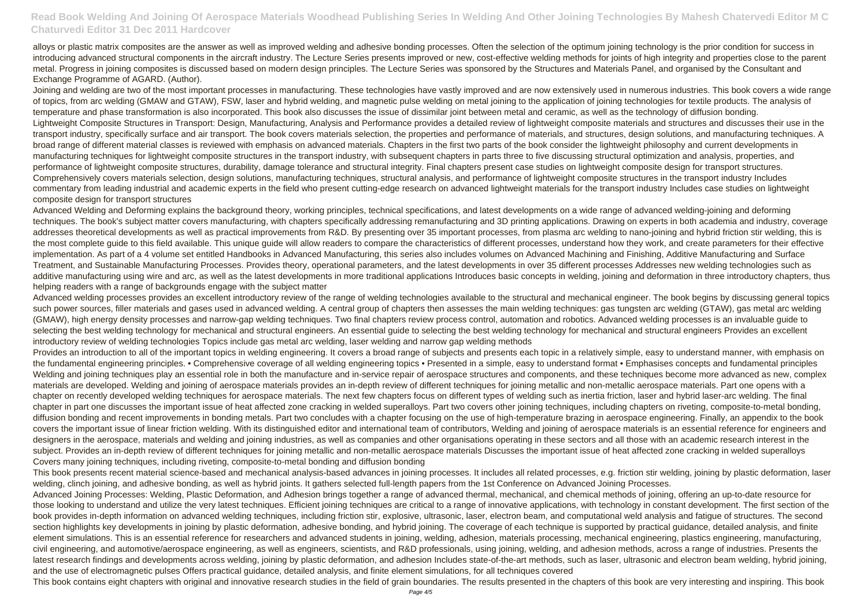## **Read Book Welding And Joining Of Aerospace Materials Woodhead Publishing Series In Welding And Other Joining Technologies By Mahesh Chatervedi Editor M C Chaturvedi Editor 31 Dec 2011 Hardcover**

alloys or plastic matrix composites are the answer as well as improved welding and adhesive bonding processes. Often the selection of the optimum joining technology is the prior condition for success in introducing advanced structural components in the aircraft industry. The Lecture Series presents improved or new, cost-effective welding methods for joints of high integrity and properties close to the parent metal. Progress in joining composites is discussed based on modern design principles. The Lecture Series was sponsored by the Structures and Materials Panel, and organised by the Consultant and Exchange Programme of AGARD. (Author).

Joining and welding are two of the most important processes in manufacturing. These technologies have vastly improved and are now extensively used in numerous industries. This book covers a wide range of topics, from arc welding (GMAW and GTAW), FSW, laser and hybrid welding, and magnetic pulse welding on metal joining to the application of joining technologies for textile products. The analysis of temperature and phase transformation is also incorporated. This book also discusses the issue of dissimilar joint between metal and ceramic, as well as the technology of diffusion bonding. Lightweight Composite Structures in Transport: Design, Manufacturing, Analysis and Performance provides a detailed review of lightweight composite materials and structures and discusses their use in the transport industry, specifically surface and air transport. The book covers materials selection, the properties and performance of materials, and structures, design solutions, and manufacturing techniques. A broad range of different material classes is reviewed with emphasis on advanced materials. Chapters in the first two parts of the book consider the lightweight philosophy and current developments in manufacturing techniques for lightweight composite structures in the transport industry, with subsequent chapters in parts three to five discussing structural optimization and analysis, properties, and performance of lightweight composite structures, durability, damage tolerance and structural integrity. Final chapters present case studies on lightweight composite design for transport structures. Comprehensively covers materials selection, design solutions, manufacturing techniques, structural analysis, and performance of lightweight composite structures in the transport industry Includes commentary from leading industrial and academic experts in the field who present cutting-edge research on advanced lightweight materials for the transport industry Includes case studies on lightweight composite design for transport structures

Advanced Welding and Deforming explains the background theory, working principles, technical specifications, and latest developments on a wide range of advanced welding-joining and deforming techniques. The book's subject matter covers manufacturing, with chapters specifically addressing remanufacturing and 3D printing applications. Drawing on experts in both academia and industry, coverage addresses theoretical developments as well as practical improvements from R&D. By presenting over 35 important processes, from plasma arc welding to nano-joining and hybrid friction stir welding, this is the most complete guide to this field available. This unique guide will allow readers to compare the characteristics of different processes, understand how they work, and create parameters for their effective implementation. As part of a 4 volume set entitled Handbooks in Advanced Manufacturing, this series also includes volumes on Advanced Machining and Finishing, Additive Manufacturing and Surface Treatment, and Sustainable Manufacturing Processes. Provides theory, operational parameters, and the latest developments in over 35 different processes Addresses new welding technologies such as additive manufacturing using wire and arc, as well as the latest developments in more traditional applications Introduces basic concepts in welding, joining and deformation in three introductory chapters, thus helping readers with a range of backgrounds engage with the subject matter

Provides an introduction to all of the important topics in welding engineering. It covers a broad range of subjects and presents each topic in a relatively simple, easy to understand manner, with emphasis on the fundamental engineering principles. • Comprehensive coverage of all welding engineering topics • Presented in a simple, easy to understand format • Emphasises concepts and fundamental principles Welding and joining techniques play an essential role in both the manufacture and in-service repair of aerospace structures and components, and these techniques become more advanced as new, complex materials are developed. Welding and joining of aerospace materials provides an in-depth review of different techniques for joining metallic and non-metallic aerospace materials. Part one opens with a chapter on recently developed welding techniques for aerospace materials. The next few chapters focus on different types of welding such as inertia friction, laser and hybrid laser-arc welding. The final chapter in part one discusses the important issue of heat affected zone cracking in welded superalloys. Part two covers other joining techniques, including chapters on riveting, composite-to-metal bonding, diffusion bonding and recent improvements in bonding metals. Part two concludes with a chapter focusing on the use of high-temperature brazing in aerospace engineering. Finally, an appendix to the book covers the important issue of linear friction welding. With its distinguished editor and international team of contributors, Welding and joining of aerospace materials is an essential reference for engineers and designers in the aerospace, materials and welding and joining industries, as well as companies and other organisations operating in these sectors and all those with an academic research interest in the subject. Provides an in-depth review of different techniques for joining metallic and non-metallic aerospace materials Discusses the important issue of heat affected zone cracking in welded superalloys Covers many joining techniques, including riveting, composite-to-metal bonding and diffusion bonding

Advanced welding processes provides an excellent introductory review of the range of welding technologies available to the structural and mechanical engineer. The book begins by discussing general topics such power sources, filler materials and gases used in advanced welding. A central group of chapters then assesses the main welding techniques: gas tungsten arc welding (GTAW), gas metal arc welding (GMAW), high energy density processes and narrow-gap welding techniques. Two final chapters review process control, automation and robotics. Advanced welding processes is an invaluable guide to selecting the best welding technology for mechanical and structural engineers. An essential guide to selecting the best welding technology for mechanical and structural engineers Provides an excellent introductory review of welding technologies Topics include gas metal arc welding, laser welding and narrow gap welding methods

This book presents recent material science-based and mechanical analysis-based advances in joining processes. It includes all related processes, e.g. friction stir welding, joining by plastic deformation, laser welding, clinch joining, and adhesive bonding, as well as hybrid joints. It gathers selected full-length papers from the 1st Conference on Advanced Joining Processes. Advanced Joining Processes: Welding, Plastic Deformation, and Adhesion brings together a range of advanced thermal, mechanical, and chemical methods of joining, offering an up-to-date resource for those looking to understand and utilize the very latest techniques. Efficient joining techniques are critical to a range of innovative applications, with technology in constant development. The first section of the book provides in-depth information on advanced welding techniques, including friction stir, explosive, ultrasonic, laser, electron beam, and computational weld analysis and fatigue of structures. The second section highlights key developments in joining by plastic deformation, adhesive bonding, and hybrid joining. The coverage of each technique is supported by practical guidance, detailed analysis, and finite element simulations. This is an essential reference for researchers and advanced students in joining, welding, adhesion, materials processing, mechanical engineering, plastics engineering, manufacturing, civil engineering, and automotive/aerospace engineering, as well as engineers, scientists, and R&D professionals, using joining, welding, and adhesion methods, across a range of industries. Presents the latest research findings and developments across welding, joining by plastic deformation, and adhesion Includes state-of-the-art methods, such as laser, ultrasonic and electron beam welding, hybrid joining, and the use of electromagnetic pulses Offers practical guidance, detailed analysis, and finite element simulations, for all techniques covered

This book contains eight chapters with original and innovative research studies in the field of grain boundaries. The results presented in the chapters of this book are very interesting and inspiring. This book